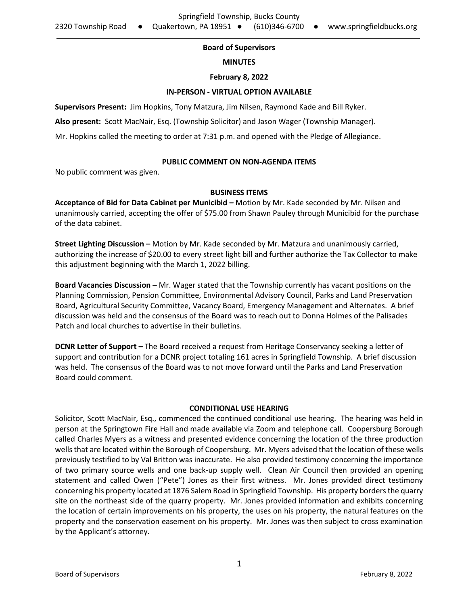# **Board of Supervisors**

### **MINUTES**

# **February 8, 2022**

### **IN-PERSON - VIRTUAL OPTION AVAILABLE**

**Supervisors Present:** Jim Hopkins, Tony Matzura, Jim Nilsen, Raymond Kade and Bill Ryker.

**Also present:** Scott MacNair, Esq. (Township Solicitor) and Jason Wager (Township Manager).

Mr. Hopkins called the meeting to order at 7:31 p.m. and opened with the Pledge of Allegiance.

# **PUBLIC COMMENT ON NON-AGENDA ITEMS**

No public comment was given.

# **BUSINESS ITEMS**

**Acceptance of Bid for Data Cabinet per Municibid – Motion by Mr. Kade seconded by Mr. Nilsen and** unanimously carried, accepting the offer of \$75.00 from Shawn Pauley through Municibid for the purchase of the data cabinet.

**Street Lighting Discussion –** Motion by Mr. Kade seconded by Mr. Matzura and unanimously carried, authorizing the increase of \$20.00 to every street light bill and further authorize the Tax Collector to make this adjustment beginning with the March 1, 2022 billing.

**Board Vacancies Discussion –** Mr. Wager stated that the Township currently has vacant positions on the Planning Commission, Pension Committee, Environmental Advisory Council, Parks and Land Preservation Board, Agricultural Security Committee, Vacancy Board, Emergency Management and Alternates. A brief discussion was held and the consensus of the Board was to reach out to Donna Holmes of the Palisades Patch and local churches to advertise in their bulletins.

**DCNR Letter of Support –** The Board received a request from Heritage Conservancy seeking a letter of support and contribution for a DCNR project totaling 161 acres in Springfield Township. A brief discussion was held. The consensus of the Board was to not move forward until the Parks and Land Preservation Board could comment.

# **CONDITIONAL USE HEARING**

Solicitor, Scott MacNair, Esq., commenced the continued conditional use hearing. The hearing was held in person at the Springtown Fire Hall and made available via Zoom and telephone call. Coopersburg Borough called Charles Myers as a witness and presented evidence concerning the location of the three production wells that are located within the Borough of Coopersburg. Mr. Myers advised that the location of these wells previously testified to by Val Britton was inaccurate. He also provided testimony concerning the importance of two primary source wells and one back-up supply well. Clean Air Council then provided an opening statement and called Owen ("Pete") Jones as their first witness. Mr. Jones provided direct testimony concerning his property located at 1876 Salem Road in Springfield Township. His property borders the quarry site on the northeast side of the quarry property. Mr. Jones provided information and exhibits concerning the location of certain improvements on his property, the uses on his property, the natural features on the property and the conservation easement on his property. Mr. Jones was then subject to cross examination by the Applicant's attorney.